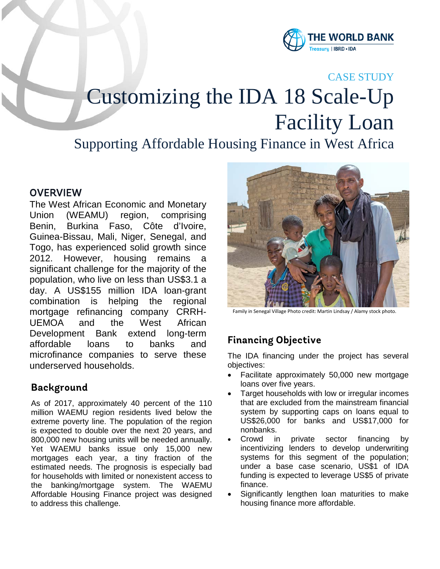

#### CASE STUDY

# Customizing the IDA 18 Scale-Up Facility Loan

## Supporting Affordable Housing Finance in West Africa

#### **OVERVIEW**

The West African Economic and Monetary Union (WEAMU) region, comprising Benin, Burkina Faso, Côte d'Ivoire, Guinea-Bissau, Mali, Niger, Senegal, and Togo, has experienced solid growth since 2012. However, housing remains a significant challenge for the majority of the population, who live on less than US\$3.1 a day. A US\$155 million IDA loan-grant combination is helping the regional mortgage refinancing company CRRH-UEMOA and the West African Development Bank extend long-term affordable loans to banks and microfinance companies to serve these underserved households.

#### **Background**

As of 2017, approximately 40 percent of the 110 million WAEMU region residents lived below the extreme poverty line. The population of the region is expected to double over the next 20 years, and 800,000 new housing units will be needed annually. Yet WAEMU banks issue only 15,000 new mortgages each year, a tiny fraction of the estimated needs. The prognosis is especially bad for households with limited or nonexistent access to the banking/mortgage system. The WAEMU Affordable Housing Finance project was designed to address this challenge.



Family in Senegal Village Photo credit: Martin Lindsay / Alamy stock photo.

### **Financing Objective**

The IDA financing under the project has several objectives:

- Facilitate approximately 50,000 new mortgage loans over five years.
- Target households with low or irregular incomes that are excluded from the mainstream financial system by supporting caps on loans equal to US\$26,000 for banks and US\$17,000 for nonbanks.
- Crowd in private sector financing by incentivizing lenders to develop underwriting systems for this segment of the population; under a base case scenario, US\$1 of IDA funding is expected to leverage US\$5 of private finance.
- Significantly lengthen loan maturities to make housing finance more affordable.